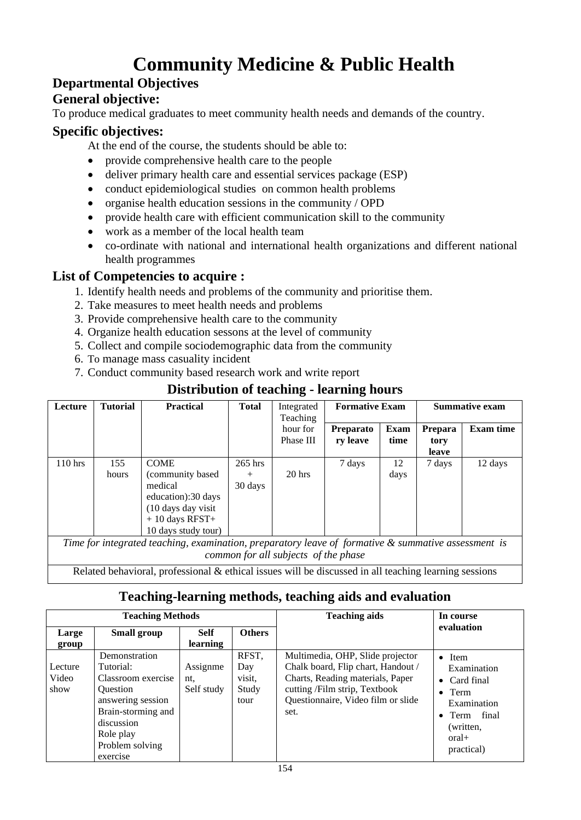# **Community Medicine & Public Health**

### **Departmental Objectives**

#### **General objective:**

To produce medical graduates to meet community health needs and demands of the country.

#### **Specific objectives:**

At the end of the course, the students should be able to:

- provide comprehensive health care to the people
- deliver primary health care and essential services package (ESP)
- conduct epidemiological studies on common health problems
- organise health education sessions in the community / OPD
- provide health care with efficient communication skill to the community
- work as a member of the local health team
- co-ordinate with national and international health organizations and different national health programmes

### **List of Competencies to acquire :**

- 1. Identify health needs and problems of the community and prioritise them.
- 2. Take measures to meet health needs and problems
- 3. Provide comprehensive health care to the community
- 4. Organize health education sessons at the level of community
- 5. Collect and compile sociodemographic data from the community
- 6. To manage mass casuality incident
- 7. Conduct community based research work and write report

### **Distribution of teaching - learning hours**

| Lecture   | <b>Tutorial</b> | <b>Practical</b>                                                                                                                   | <b>Total</b>                   | Integrated<br>Teaching | <b>Formative Exam</b>        |              | <b>Summative exam</b>    |                  |
|-----------|-----------------|------------------------------------------------------------------------------------------------------------------------------------|--------------------------------|------------------------|------------------------------|--------------|--------------------------|------------------|
|           |                 |                                                                                                                                    |                                | hour for<br>Phase III  | <b>Preparato</b><br>ry leave | Exam<br>time | Prepara<br>tory<br>leave | <b>Exam time</b> |
| $110$ hrs | 155<br>hours    | <b>COME</b><br>(community based)<br>medical<br>education):30 days<br>(10 days day visit<br>$+10$ days RFST+<br>10 days study tour) | $265$ hrs<br>$^{+}$<br>30 days | $20$ hrs               | 7 days                       | 12<br>days   | 7 days                   | 12 days          |

*Time for integrated teaching, examination, preparatory leave of formative & summative assessment is common for all subjects of the phase* 

Related behavioral, professional & ethical issues will be discussed in all teaching learning sessions

### **Teaching-learning methods, teaching aids and evaluation**

| <b>Teaching Methods</b>  |                                                                                                                                                                          |                               |                                         | <b>Teaching aids</b>                                                                                                                                                                      | In course                                                                                                                                    |  |
|--------------------------|--------------------------------------------------------------------------------------------------------------------------------------------------------------------------|-------------------------------|-----------------------------------------|-------------------------------------------------------------------------------------------------------------------------------------------------------------------------------------------|----------------------------------------------------------------------------------------------------------------------------------------------|--|
| Large<br>group           | Small group                                                                                                                                                              | <b>Self</b><br>learning       | <b>Others</b>                           |                                                                                                                                                                                           | evaluation                                                                                                                                   |  |
| Lecture<br>Video<br>show | Demonstration<br>Tutorial:<br>Classroom exercise<br><b>Ouestion</b><br>answering session<br>Brain-storming and<br>discussion<br>Role play<br>Problem solving<br>exercise | Assignme<br>nt,<br>Self study | RFST,<br>Day<br>visit,<br>Study<br>tour | Multimedia, OHP, Slide projector<br>Chalk board, Flip chart, Handout /<br>Charts, Reading materials, Paper<br>cutting /Film strip, Textbook<br>Questionnaire, Video film or slide<br>set. | $\bullet$ Item<br>Examination<br>$\bullet$ Card final<br>$\bullet$ Term<br>Examination<br>• Term final<br>(written,<br>$oral+$<br>practical) |  |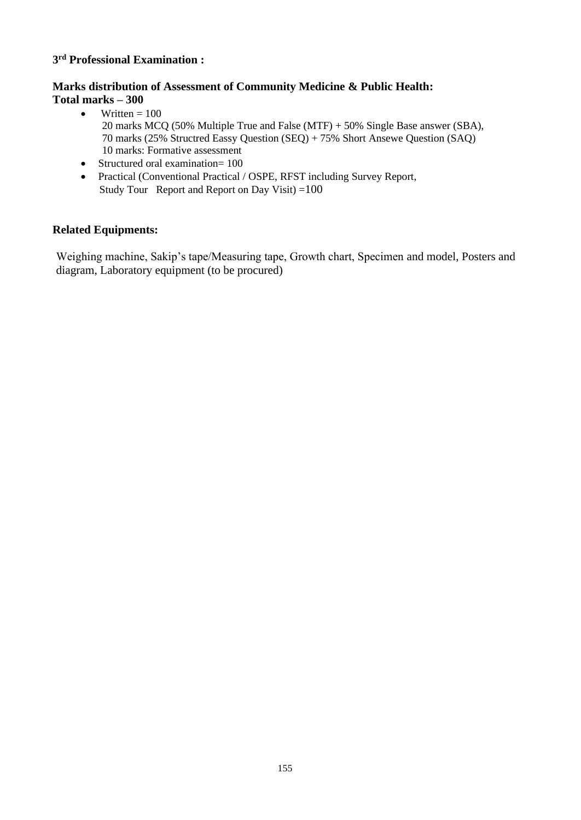#### **3 rd Professional Examination :**

#### **Marks distribution of Assessment of Community Medicine & Public Health: Total marks – 300**

- Written  $= 100$  20 marks MCQ (50% Multiple True and False (MTF) + 50% Single Base answer (SBA), 70 marks (25% Structred Eassy Question (SEQ) + 75% Short Ansewe Question (SAQ) 10 marks: Formative assessment
- Structured oral examination= 100
- Practical (Conventional Practical / OSPE, RFST including Survey Report, Study Tour Report and Report on Day Visit)  $=100$

#### **Related Equipments:**

Weighing machine, Sakip's tape/Measuring tape, Growth chart, Specimen and model, Posters and diagram, Laboratory equipment (to be procured)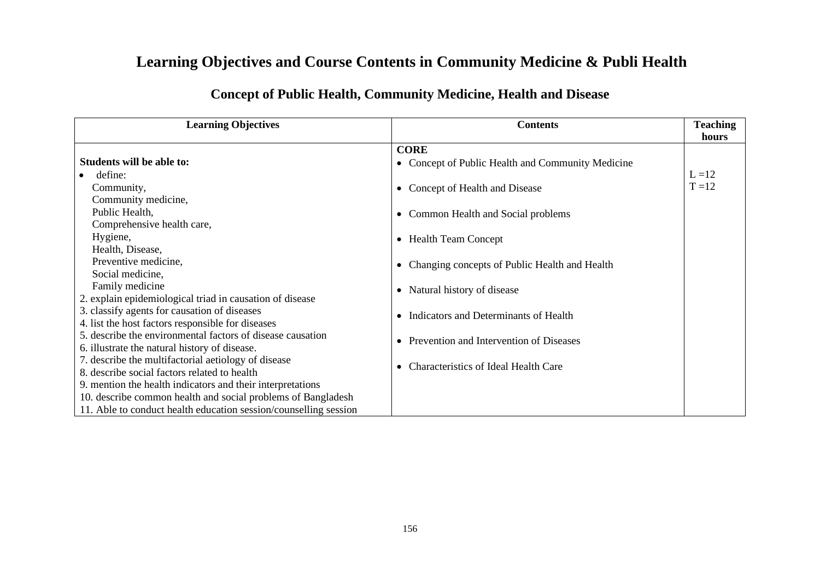## **Learning Objectives and Course Contents in Community Medicine & Publi Health**

### **Concept of Public Health, Community Medicine, Health and Disease**

| <b>Learning Objectives</b>                                       | <b>Contents</b>                                    | <b>Teaching</b> |
|------------------------------------------------------------------|----------------------------------------------------|-----------------|
|                                                                  |                                                    | hours           |
|                                                                  | <b>CORE</b>                                        |                 |
| Students will be able to:                                        | • Concept of Public Health and Community Medicine  |                 |
| define:                                                          |                                                    | $L = 12$        |
| Community,                                                       | Concept of Health and Disease                      | $T = 12$        |
| Community medicine,                                              |                                                    |                 |
| Public Health,                                                   | Common Health and Social problems<br>$\bullet$     |                 |
| Comprehensive health care,                                       |                                                    |                 |
| Hygiene,                                                         | • Health Team Concept                              |                 |
| Health, Disease,                                                 |                                                    |                 |
| Preventive medicine,                                             | Changing concepts of Public Health and Health      |                 |
| Social medicine,                                                 |                                                    |                 |
| Family medicine                                                  | Natural history of disease<br>$\bullet$            |                 |
| 2. explain epidemiological triad in causation of disease         |                                                    |                 |
| 3. classify agents for causation of diseases                     | Indicators and Determinants of Health<br>$\bullet$ |                 |
| 4. list the host factors responsible for diseases                |                                                    |                 |
| 5. describe the environmental factors of disease causation       | Prevention and Intervention of Diseases            |                 |
| 6. illustrate the natural history of disease.                    |                                                    |                 |
| 7. describe the multifactorial aetiology of disease              | <b>Characteristics of Ideal Health Care</b>        |                 |
| 8. describe social factors related to health                     |                                                    |                 |
| 9. mention the health indicators and their interpretations       |                                                    |                 |
| 10. describe common health and social problems of Bangladesh     |                                                    |                 |
| 11. Able to conduct health education session/counselling session |                                                    |                 |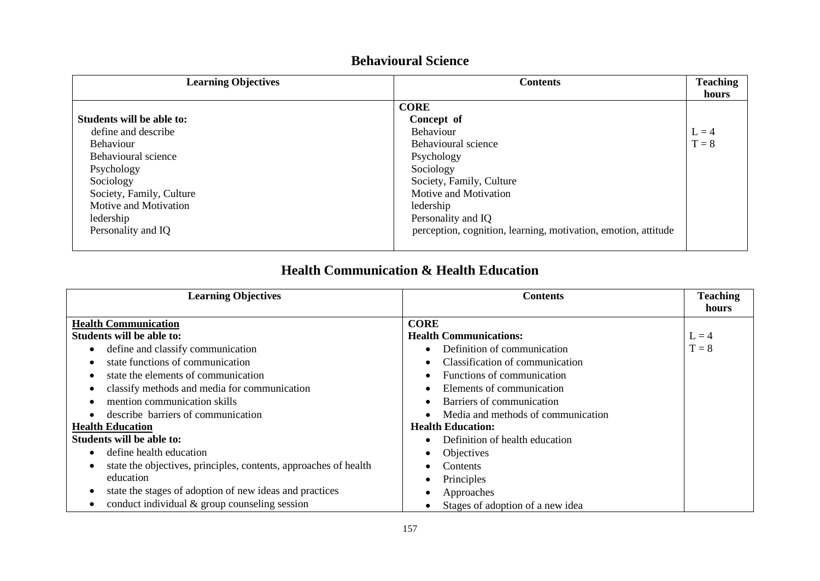| <b>Learning Objectives</b> | <b>Contents</b>                                                | <b>Teaching</b> |
|----------------------------|----------------------------------------------------------------|-----------------|
|                            |                                                                | hours           |
|                            | <b>CORE</b>                                                    |                 |
| Students will be able to:  | Concept of                                                     |                 |
| define and describe        | <b>Behaviour</b>                                               | $L = 4$         |
| <b>Behaviour</b>           | Behavioural science                                            | $T = 8$         |
| Behavioural science        | Psychology                                                     |                 |
| Psychology                 | Sociology                                                      |                 |
| Sociology                  | Society, Family, Culture                                       |                 |
| Society, Family, Culture   | Motive and Motivation                                          |                 |
| Motive and Motivation      | ledership                                                      |                 |
| ledership                  | Personality and IQ                                             |                 |
| Personality and IQ         | perception, cognition, learning, motivation, emotion, attitude |                 |
|                            |                                                                |                 |

### **Behavioural Science**

### **Health Communication & Health Education**

| <b>Learning Objectives</b>                                       | <b>Contents</b>                        | <b>Teaching</b> |
|------------------------------------------------------------------|----------------------------------------|-----------------|
|                                                                  |                                        | hours           |
| <b>Health Communication</b>                                      | <b>CORE</b>                            |                 |
| Students will be able to:                                        | <b>Health Communications:</b>          | $L = 4$         |
| define and classify communication                                | Definition of communication            | $T = 8$         |
| state functions of communication                                 | Classification of communication        |                 |
| state the elements of communication                              | Functions of communication             |                 |
| classify methods and media for communication                     | Elements of communication              |                 |
| mention communication skills                                     | Barriers of communication<br>$\bullet$ |                 |
| describe barriers of communication                               | Media and methods of communication     |                 |
| <b>Health Education</b>                                          | <b>Health Education:</b>               |                 |
| Students will be able to:                                        | Definition of health education         |                 |
| define health education                                          | Objectives                             |                 |
| state the objectives, principles, contents, approaches of health | Contents                               |                 |
| education                                                        | Principles                             |                 |
| state the stages of adoption of new ideas and practices          | Approaches                             |                 |
| conduct individual $&$ group counseling session                  | Stages of adoption of a new idea       |                 |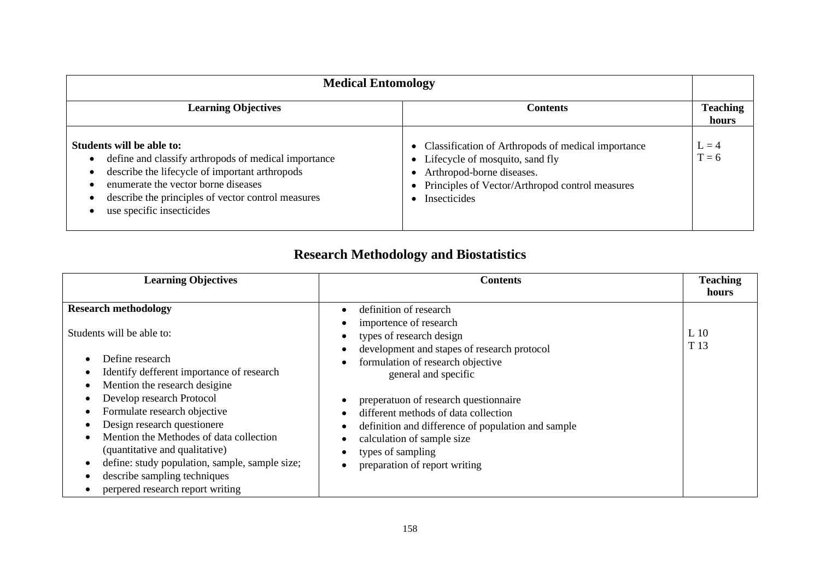| <b>Medical Entomology</b>                                                                                                                                                                                                                                     |                                                                                                                                                                                           |                          |  |
|---------------------------------------------------------------------------------------------------------------------------------------------------------------------------------------------------------------------------------------------------------------|-------------------------------------------------------------------------------------------------------------------------------------------------------------------------------------------|--------------------------|--|
| <b>Learning Objectives</b>                                                                                                                                                                                                                                    | Contents                                                                                                                                                                                  | <b>Teaching</b><br>hours |  |
| Students will be able to:<br>define and classify arthropods of medical importance<br>describe the lifecycle of important arthropods<br>enumerate the vector borne diseases<br>describe the principles of vector control measures<br>use specific insecticides | • Classification of Arthropods of medical importance<br>• Lifecycle of mosquito, sand fly<br>Arthropod-borne diseases.<br>Principles of Vector/Arthropod control measures<br>Insecticides | $L = 4$<br>$T = 6$       |  |

## **Research Methodology and Biostatistics**

| <b>Learning Objectives</b>                                                                                                                                                                                                                                                                                                                                                                                                                               | <b>Contents</b>                                                                                                                                                                                                                                                                                                                                                                                                     | <b>Teaching</b>             |
|----------------------------------------------------------------------------------------------------------------------------------------------------------------------------------------------------------------------------------------------------------------------------------------------------------------------------------------------------------------------------------------------------------------------------------------------------------|---------------------------------------------------------------------------------------------------------------------------------------------------------------------------------------------------------------------------------------------------------------------------------------------------------------------------------------------------------------------------------------------------------------------|-----------------------------|
|                                                                                                                                                                                                                                                                                                                                                                                                                                                          |                                                                                                                                                                                                                                                                                                                                                                                                                     | hours                       |
| <b>Research methodology</b><br>Students will be able to:<br>Define research<br>Identify defferent importance of research<br>Mention the research desigine<br>Develop research Protocol<br>Formulate research objective<br>Design research questionere<br>Mention the Methodes of data collection<br>(quantitative and qualitative)<br>define: study population, sample, sample size;<br>describe sampling techniques<br>perpered research report writing | definition of research<br>importence of research<br>types of research design<br>development and stapes of research protocol<br>formulation of research objective<br>general and specific<br>preperatuon of research questionnaire<br>different methods of data collection<br>definition and difference of population and sample<br>calculation of sample size<br>types of sampling<br>preparation of report writing | $L_{10}$<br>T <sub>13</sub> |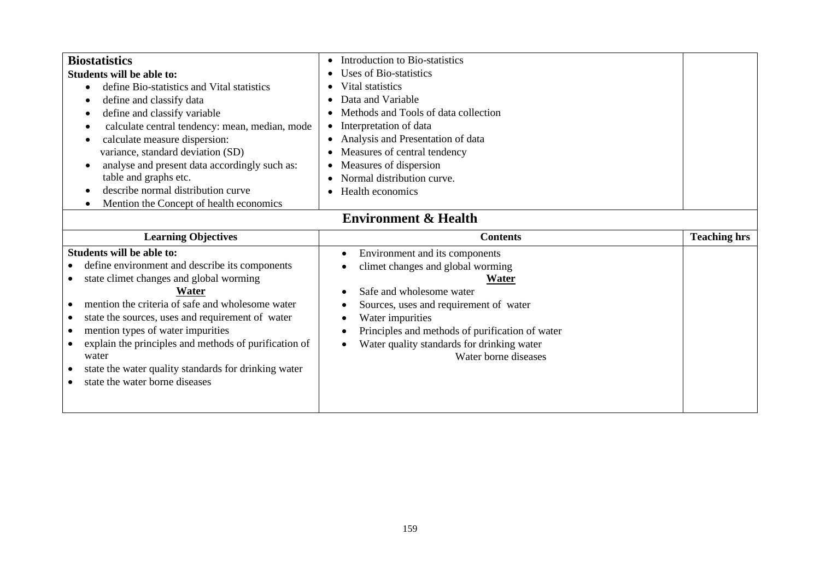| <b>Biostatistics</b><br><b>Students will be able to:</b><br>define Bio-statistics and Vital statistics<br>define and classify data<br>define and classify variable<br>calculate central tendency: mean, median, mode<br>calculate measure dispersion:<br>variance, standard deviation (SD)<br>analyse and present data accordingly such as:<br>$\bullet$<br>table and graphs etc.<br>describe normal distribution curve<br>Mention the Concept of health economics | Introduction to Bio-statistics<br>Uses of Bio-statistics<br>Vital statistics<br>Data and Variable<br>Methods and Tools of data collection<br>Interpretation of data<br>Analysis and Presentation of data<br>$\bullet$<br>Measures of central tendency<br>Measures of dispersion<br>Normal distribution curve.<br>Health economics |                     |  |
|--------------------------------------------------------------------------------------------------------------------------------------------------------------------------------------------------------------------------------------------------------------------------------------------------------------------------------------------------------------------------------------------------------------------------------------------------------------------|-----------------------------------------------------------------------------------------------------------------------------------------------------------------------------------------------------------------------------------------------------------------------------------------------------------------------------------|---------------------|--|
| <b>Environment &amp; Health</b>                                                                                                                                                                                                                                                                                                                                                                                                                                    |                                                                                                                                                                                                                                                                                                                                   |                     |  |
| <b>Learning Objectives</b>                                                                                                                                                                                                                                                                                                                                                                                                                                         | <b>Contents</b>                                                                                                                                                                                                                                                                                                                   | <b>Teaching hrs</b> |  |
| <b>Students will be able to:</b>                                                                                                                                                                                                                                                                                                                                                                                                                                   | Environment and its components<br>$\bullet$                                                                                                                                                                                                                                                                                       |                     |  |
|                                                                                                                                                                                                                                                                                                                                                                                                                                                                    |                                                                                                                                                                                                                                                                                                                                   |                     |  |
| define environment and describe its components                                                                                                                                                                                                                                                                                                                                                                                                                     | climet changes and global worming                                                                                                                                                                                                                                                                                                 |                     |  |
| state climet changes and global worming<br>$\bullet$                                                                                                                                                                                                                                                                                                                                                                                                               | Water                                                                                                                                                                                                                                                                                                                             |                     |  |
| Water                                                                                                                                                                                                                                                                                                                                                                                                                                                              | Safe and wholesome water                                                                                                                                                                                                                                                                                                          |                     |  |
| mention the criteria of safe and wholesome water<br>$\bullet$                                                                                                                                                                                                                                                                                                                                                                                                      | Sources, uses and requirement of water<br>٠                                                                                                                                                                                                                                                                                       |                     |  |
| state the sources, uses and requirement of water<br>mention types of water impurities<br>$\bullet$                                                                                                                                                                                                                                                                                                                                                                 | Water impurities<br>Principles and methods of purification of water<br>٠                                                                                                                                                                                                                                                          |                     |  |
| explain the principles and methods of purification of<br>$\bullet$                                                                                                                                                                                                                                                                                                                                                                                                 | Water quality standards for drinking water<br>$\bullet$                                                                                                                                                                                                                                                                           |                     |  |
| water                                                                                                                                                                                                                                                                                                                                                                                                                                                              | Water borne diseases                                                                                                                                                                                                                                                                                                              |                     |  |
| state the water quality standards for drinking water                                                                                                                                                                                                                                                                                                                                                                                                               |                                                                                                                                                                                                                                                                                                                                   |                     |  |
| state the water borne diseases                                                                                                                                                                                                                                                                                                                                                                                                                                     |                                                                                                                                                                                                                                                                                                                                   |                     |  |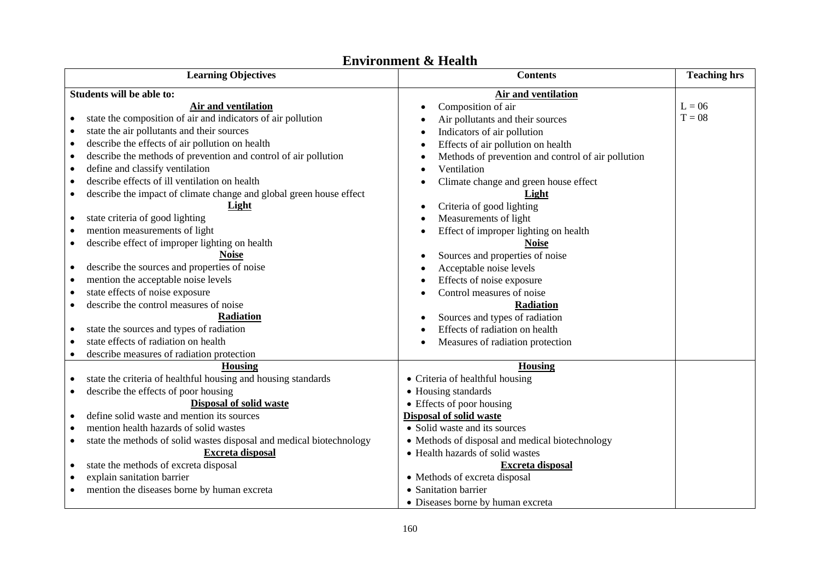|           | <b>Learning Objectives</b>                                             |           | <b>Contents</b>                                             | <b>Teaching hrs</b> |
|-----------|------------------------------------------------------------------------|-----------|-------------------------------------------------------------|---------------------|
|           | Students will be able to:                                              |           | Air and ventilation                                         |                     |
|           | Air and ventilation                                                    | $\bullet$ | Composition of air                                          | $L = 06$            |
|           | state the composition of air and indicators of air pollution           |           | Air pollutants and their sources                            | $T = 08$            |
|           | state the air pollutants and their sources                             |           | Indicators of air pollution                                 |                     |
|           | describe the effects of air pollution on health                        |           | Effects of air pollution on health                          |                     |
| $\bullet$ | describe the methods of prevention and control of air pollution        |           | Methods of prevention and control of air pollution          |                     |
|           | define and classify ventilation                                        |           | Ventilation                                                 |                     |
|           | describe effects of ill ventilation on health                          |           | Climate change and green house effect                       |                     |
| $\bullet$ | describe the impact of climate change and global green house effect    |           | Light                                                       |                     |
|           | Light                                                                  | ٠         | Criteria of good lighting                                   |                     |
| $\bullet$ | state criteria of good lighting                                        |           | Measurements of light                                       |                     |
|           | mention measurements of light                                          |           | Effect of improper lighting on health                       |                     |
| ٠         | describe effect of improper lighting on health                         |           | <b>Noise</b>                                                |                     |
|           | <b>Noise</b>                                                           |           | Sources and properties of noise                             |                     |
|           | describe the sources and properties of noise                           |           | Acceptable noise levels                                     |                     |
|           | mention the acceptable noise levels                                    |           | Effects of noise exposure                                   |                     |
|           | state effects of noise exposure                                        |           | Control measures of noise                                   |                     |
| ٠         | describe the control measures of noise                                 |           | Radiation                                                   |                     |
|           | Radiation                                                              |           | Sources and types of radiation                              |                     |
| $\bullet$ | state the sources and types of radiation                               |           | Effects of radiation on health                              |                     |
|           | state effects of radiation on health                                   |           | Measures of radiation protection                            |                     |
|           | describe measures of radiation protection                              |           |                                                             |                     |
|           | <b>Housing</b>                                                         |           | <b>Housing</b>                                              |                     |
|           | state the criteria of healthful housing and housing standards          |           | • Criteria of healthful housing                             |                     |
| ٠         | describe the effects of poor housing<br><b>Disposal of solid waste</b> |           | • Housing standards                                         |                     |
|           | define solid waste and mention its sources                             |           | • Effects of poor housing<br><b>Disposal of solid waste</b> |                     |
|           | mention health hazards of solid wastes                                 |           | • Solid waste and its sources                               |                     |
| $\bullet$ | state the methods of solid wastes disposal and medical biotechnology   |           | • Methods of disposal and medical biotechnology             |                     |
|           | <b>Excreta disposal</b>                                                |           | • Health hazards of solid wastes                            |                     |
| $\bullet$ | state the methods of excreta disposal                                  |           | <b>Excreta disposal</b>                                     |                     |
|           | explain sanitation barrier                                             |           | • Methods of excreta disposal                               |                     |
|           | mention the diseases borne by human excreta                            |           | • Sanitation barrier                                        |                     |
|           |                                                                        |           | • Diseases borne by human excreta                           |                     |

#### **Environment & Health**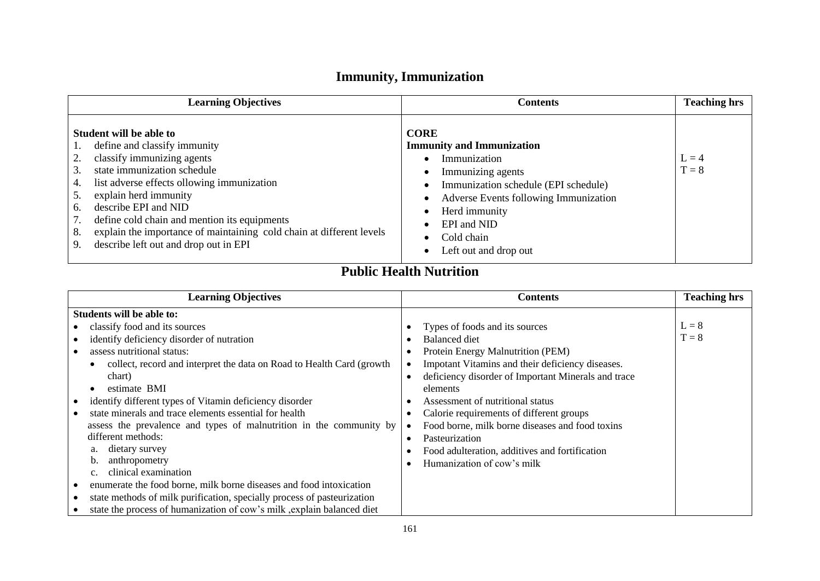## **Immunity, Immunization**

| <b>Learning Objectives</b>                                                                                                                                                                                                                                                                                                                                                                                               | <b>Contents</b>                                                                                                                                                                                                                              | <b>Teaching hrs</b> |
|--------------------------------------------------------------------------------------------------------------------------------------------------------------------------------------------------------------------------------------------------------------------------------------------------------------------------------------------------------------------------------------------------------------------------|----------------------------------------------------------------------------------------------------------------------------------------------------------------------------------------------------------------------------------------------|---------------------|
| Student will be able to<br>define and classify immunity<br>classify immunizing agents<br>state immunization schedule<br>3.<br>list adverse effects ollowing immunization<br>4.<br>explain herd immunity<br>5.<br>describe EPI and NID<br>6.<br>define cold chain and mention its equipments<br>explain the importance of maintaining cold chain at different levels<br>8.<br>describe left out and drop out in EPI<br>9. | <b>CORE</b><br><b>Immunity and Immunization</b><br>Immunization<br>Immunizing agents<br>Immunization schedule (EPI schedule)<br>Adverse Events following Immunization<br>Herd immunity<br>EPI and NID<br>Cold chain<br>Left out and drop out | $L = 4$<br>$T = 8$  |

## **Public Health Nutrition**

| <b>Learning Objectives</b>                                              | <b>Contents</b>                                     | <b>Teaching hrs</b> |
|-------------------------------------------------------------------------|-----------------------------------------------------|---------------------|
| Students will be able to:                                               |                                                     |                     |
| classify food and its sources                                           | Types of foods and its sources                      | $L = 8$             |
| identify deficiency disorder of nutration                               | <b>Balanced diet</b>                                | $T = 8$             |
| assess nutritional status:                                              | Protein Energy Malnutrition (PEM)                   |                     |
| collect, record and interpret the data on Road to Health Card (growth   | Impotant Vitamins and their deficiency diseases.    |                     |
| chart)                                                                  | deficiency disorder of Important Minerals and trace |                     |
| estimate BMI                                                            | elements                                            |                     |
| identify different types of Vitamin deficiency disorder                 | Assessment of nutritional status                    |                     |
| state minerals and trace elements essential for health                  | Calorie requirements of different groups            |                     |
| assess the prevalence and types of malnutrition in the community by     | Food borne, milk borne diseases and food toxins     |                     |
| different methods:                                                      | Pasteurization                                      |                     |
| dietary survey<br>a.                                                    | Food adulteration, additives and fortification      |                     |
| anthropometry<br>b.                                                     | Humanization of cow's milk                          |                     |
| clinical examination                                                    |                                                     |                     |
| enumerate the food borne, milk borne diseases and food intoxication     |                                                     |                     |
| state methods of milk purification, specially process of pasteurization |                                                     |                     |
| state the process of humanization of cow's milk, explain balanced diet  |                                                     |                     |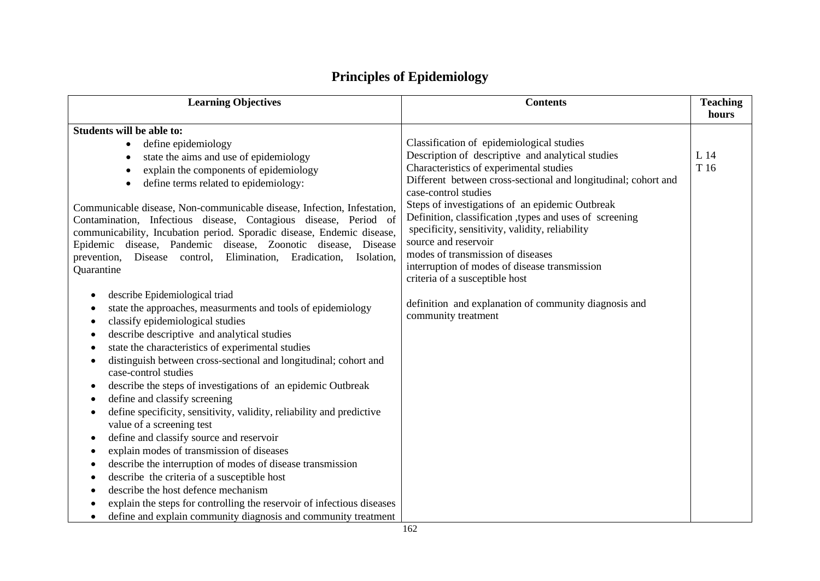| <b>Learning Objectives</b>                                                 | <b>Contents</b>                                                                                | <b>Teaching</b><br>hours |
|----------------------------------------------------------------------------|------------------------------------------------------------------------------------------------|--------------------------|
|                                                                            |                                                                                                |                          |
| <b>Students will be able to:</b>                                           |                                                                                                |                          |
| define epidemiology<br>$\bullet$                                           | Classification of epidemiological studies<br>Description of descriptive and analytical studies | L 14                     |
| state the aims and use of epidemiology<br>$\bullet$                        | Characteristics of experimental studies                                                        | T 16                     |
| explain the components of epidemiology<br>$\bullet$                        | Different between cross-sectional and longitudinal; cohort and                                 |                          |
| define terms related to epidemiology:<br>$\bullet$                         | case-control studies                                                                           |                          |
| Communicable disease, Non-communicable disease, Infection, Infestation,    | Steps of investigations of an epidemic Outbreak                                                |                          |
| Contamination, Infectious disease, Contagious disease, Period of           | Definition, classification , types and uses of screening                                       |                          |
| communicability, Incubation period. Sporadic disease, Endemic disease,     | specificity, sensitivity, validity, reliability                                                |                          |
| Epidemic disease, Pandemic disease, Zoonotic disease, Disease              | source and reservoir                                                                           |                          |
| Elimination, Eradication,<br>prevention,<br>Disease control,<br>Isolation, | modes of transmission of diseases                                                              |                          |
| Quarantine                                                                 | interruption of modes of disease transmission                                                  |                          |
|                                                                            | criteria of a susceptible host                                                                 |                          |
| describe Epidemiological triad<br>٠                                        |                                                                                                |                          |
| state the approaches, measurments and tools of epidemiology                | definition and explanation of community diagnosis and                                          |                          |
| classify epidemiological studies                                           | community treatment                                                                            |                          |
| describe descriptive and analytical studies<br>$\bullet$                   |                                                                                                |                          |
| state the characteristics of experimental studies<br>$\bullet$             |                                                                                                |                          |
| distinguish between cross-sectional and longitudinal; cohort and           |                                                                                                |                          |
| case-control studies                                                       |                                                                                                |                          |
| describe the steps of investigations of an epidemic Outbreak<br>٠          |                                                                                                |                          |
| define and classify screening                                              |                                                                                                |                          |
| define specificity, sensitivity, validity, reliability and predictive      |                                                                                                |                          |
| value of a screening test                                                  |                                                                                                |                          |
| define and classify source and reservoir                                   |                                                                                                |                          |
| explain modes of transmission of diseases<br>$\bullet$                     |                                                                                                |                          |
| describe the interruption of modes of disease transmission                 |                                                                                                |                          |
| describe the criteria of a susceptible host                                |                                                                                                |                          |
| describe the host defence mechanism                                        |                                                                                                |                          |
| explain the steps for controlling the reservoir of infectious diseases     |                                                                                                |                          |
| define and explain community diagnosis and community treatment             |                                                                                                |                          |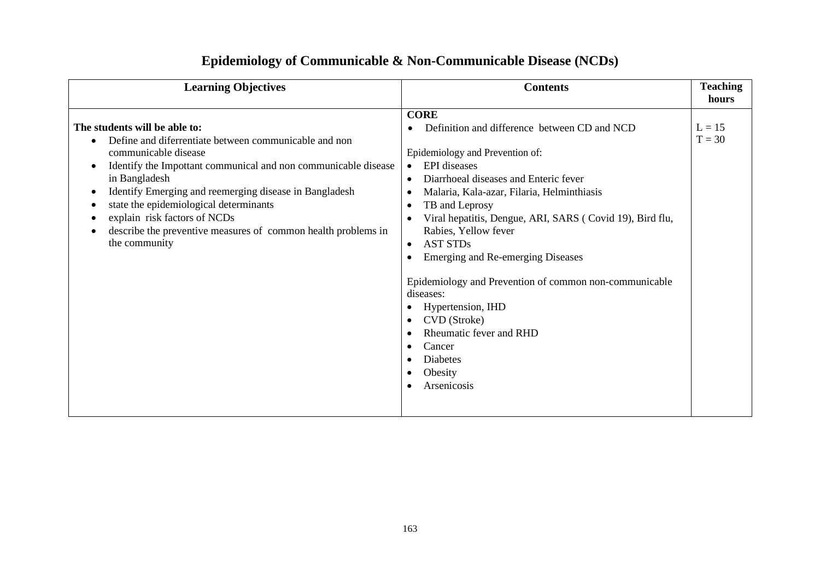| <b>Learning Objectives</b>                                                                                                                                                                                                                                                                                                                                                                                              |                                                                                                                                                                                                                                                                                                                                                                                                                                                                                                                                                                                                                                                            | <b>Teaching</b>      |
|-------------------------------------------------------------------------------------------------------------------------------------------------------------------------------------------------------------------------------------------------------------------------------------------------------------------------------------------------------------------------------------------------------------------------|------------------------------------------------------------------------------------------------------------------------------------------------------------------------------------------------------------------------------------------------------------------------------------------------------------------------------------------------------------------------------------------------------------------------------------------------------------------------------------------------------------------------------------------------------------------------------------------------------------------------------------------------------------|----------------------|
| <b>Contents</b>                                                                                                                                                                                                                                                                                                                                                                                                         |                                                                                                                                                                                                                                                                                                                                                                                                                                                                                                                                                                                                                                                            | hours                |
| The students will be able to:<br>Define and diferrentiate between communicable and non<br>communicable disease<br>Identify the Impottant communical and non communicable disease<br>in Bangladesh<br>Identify Emerging and reemerging disease in Bangladesh<br>state the epidemiological determinants<br>explain risk factors of NCDs<br>describe the preventive measures of common health problems in<br>the community | <b>CORE</b><br>Definition and difference between CD and NCD<br>Epidemiology and Prevention of:<br><b>EPI</b> diseases<br>$\bullet$<br>Diarrhoeal diseases and Enteric fever<br>Malaria, Kala-azar, Filaria, Helminthiasis<br>TB and Leprosy<br>$\bullet$<br>Viral hepatitis, Dengue, ARI, SARS (Covid 19), Bird flu,<br>$\bullet$<br>Rabies, Yellow fever<br><b>AST STDs</b><br>$\bullet$<br><b>Emerging and Re-emerging Diseases</b><br>Epidemiology and Prevention of common non-communicable<br>diseases:<br>Hypertension, IHD<br>CVD (Stroke)<br>$\bullet$<br>Rheumatic fever and RHD<br>Cancer<br><b>Diabetes</b><br>٠<br>Obesity<br>Arsenicosis<br>٠ | $L = 15$<br>$T = 30$ |

## **Epidemiology of Communicable & Non-Communicable Disease (NCDs)**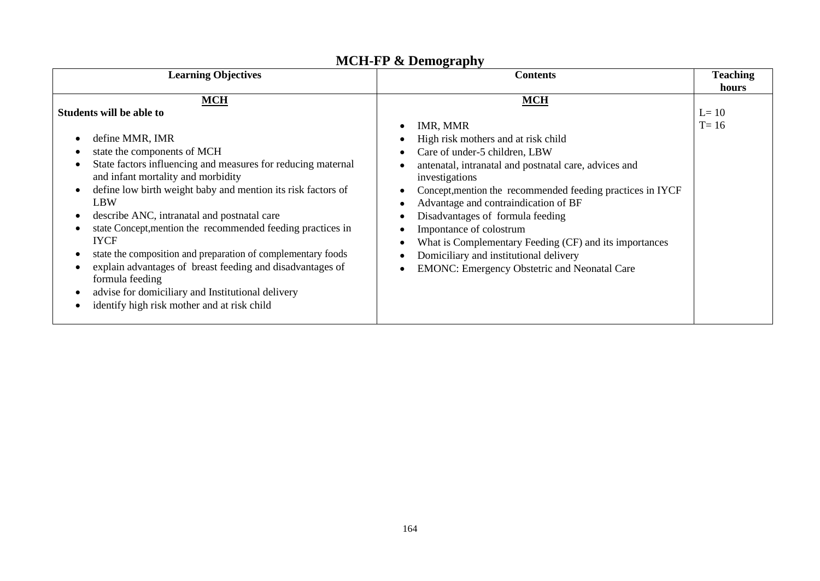| <b>Learning Objectives</b>                                                                                                                                                                                                                                                                                                                                                                                                                                                                                                                                                                                                                                          |                                                                                                                                                                                                                                                                                                                                                                                                                                                                                                           | <b>Teaching</b>    |
|---------------------------------------------------------------------------------------------------------------------------------------------------------------------------------------------------------------------------------------------------------------------------------------------------------------------------------------------------------------------------------------------------------------------------------------------------------------------------------------------------------------------------------------------------------------------------------------------------------------------------------------------------------------------|-----------------------------------------------------------------------------------------------------------------------------------------------------------------------------------------------------------------------------------------------------------------------------------------------------------------------------------------------------------------------------------------------------------------------------------------------------------------------------------------------------------|--------------------|
| <b>Contents</b>                                                                                                                                                                                                                                                                                                                                                                                                                                                                                                                                                                                                                                                     |                                                                                                                                                                                                                                                                                                                                                                                                                                                                                                           | hours              |
| <b>MCH</b><br>Students will be able to<br>define MMR, IMR<br>state the components of MCH<br>State factors influencing and measures for reducing maternal<br>and infant mortality and morbidity<br>define low birth weight baby and mention its risk factors of<br>$\bullet$<br>LBW<br>describe ANC, intranatal and postnatal care<br>state Concept, mention the recommended feeding practices in<br><b>IYCF</b><br>state the composition and preparation of complementary foods<br>explain advantages of breast feeding and disadvantages of<br>formula feeding<br>advise for domiciliary and Institutional delivery<br>identify high risk mother and at risk child | <b>MCH</b><br>IMR, MMR<br>High risk mothers and at risk child<br>Care of under-5 children, LBW<br>antenatal, intranatal and postnatal care, advices and<br>investigations<br>Concept, mention the recommended feeding practices in IYCF<br>Advantage and contraindication of BF<br>Disadvantages of formula feeding<br>Impontance of colostrum<br>What is Complementary Feeding (CF) and its importances<br>Domiciliary and institutional delivery<br><b>EMONC: Emergency Obstetric and Neonatal Care</b> | $L=10$<br>$T = 16$ |

### **MCH-FP & Demography**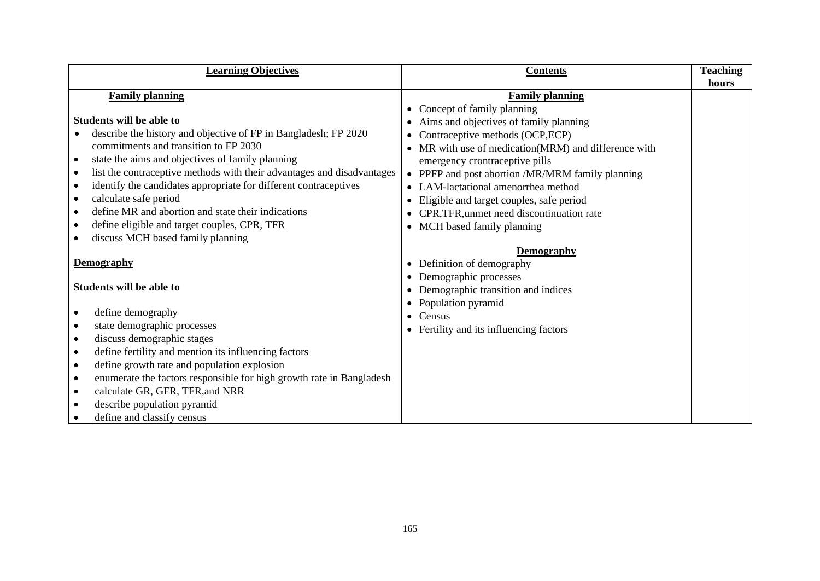| <b>Learning Objectives</b>                                                        | <b>Contents</b>                                       | <b>Teaching</b> |
|-----------------------------------------------------------------------------------|-------------------------------------------------------|-----------------|
| <b>Family planning</b>                                                            | <b>Family planning</b>                                | hours           |
|                                                                                   | Concept of family planning                            |                 |
| <b>Students will be able to</b>                                                   | Aims and objectives of family planning                |                 |
| describe the history and objective of FP in Bangladesh; FP 2020                   | Contraceptive methods (OCP,ECP)<br>$\bullet$          |                 |
| commitments and transition to FP 2030                                             | MR with use of medication(MRM) and difference with    |                 |
| state the aims and objectives of family planning<br>$\bullet$                     | emergency crontraceptive pills                        |                 |
| list the contraceptive methods with their advantages and disadvantages            | PPFP and post abortion /MR/MRM family planning        |                 |
| identify the candidates appropriate for different contraceptives<br>$\bullet$     | LAM-lactational amenorrhea method                     |                 |
| calculate safe period<br>$\bullet$                                                | Eligible and target couples, safe period<br>$\bullet$ |                 |
| define MR and abortion and state their indications                                | CPR, TFR, unmet need discontinuation rate             |                 |
| define eligible and target couples, CPR, TFR<br>٠                                 | MCH based family planning<br>$\bullet$                |                 |
| discuss MCH based family planning                                                 |                                                       |                 |
|                                                                                   | <b>Demography</b>                                     |                 |
| <b>Demography</b>                                                                 | Definition of demography<br>$\bullet$                 |                 |
|                                                                                   | Demographic processes<br>٠                            |                 |
| <b>Students will be able to</b>                                                   | Demographic transition and indices                    |                 |
|                                                                                   | Population pyramid<br>$\bullet$                       |                 |
| define demography                                                                 | Census<br>$\bullet$                                   |                 |
| state demographic processes<br>$\bullet$                                          | Fertility and its influencing factors                 |                 |
| discuss demographic stages<br>$\bullet$                                           |                                                       |                 |
| define fertility and mention its influencing factors<br>$\bullet$                 |                                                       |                 |
| define growth rate and population explosion<br>$\bullet$                          |                                                       |                 |
| enumerate the factors responsible for high growth rate in Bangladesh<br>$\bullet$ |                                                       |                 |
| calculate GR, GFR, TFR, and NRR<br>$\bullet$                                      |                                                       |                 |
| describe population pyramid<br>$\bullet$                                          |                                                       |                 |
| define and classify census                                                        |                                                       |                 |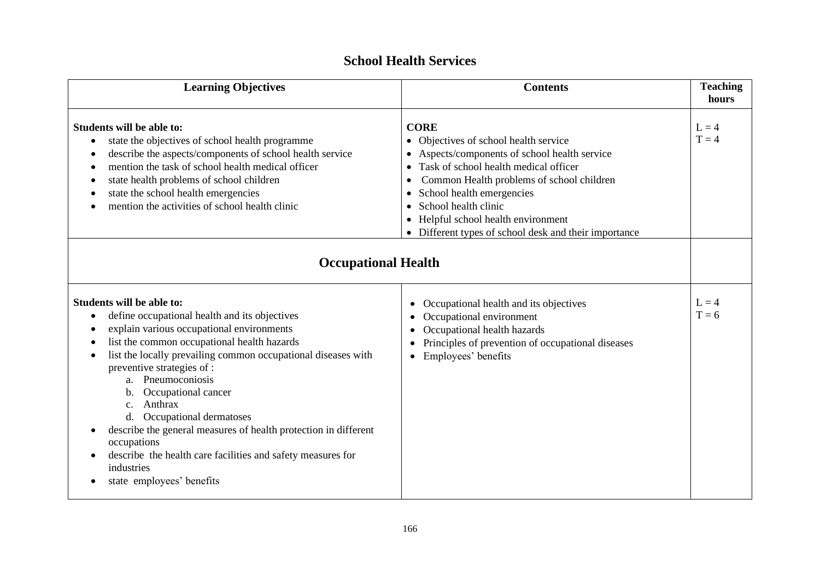| <b>Learning Objectives</b><br><b>Contents</b>                                                                                                                                                                                                                                                                                                                                                                                                                                                                                                                                                       |                                                                                                                                                                                                                                                                                                                                                           | <b>Teaching</b><br>hours |
|-----------------------------------------------------------------------------------------------------------------------------------------------------------------------------------------------------------------------------------------------------------------------------------------------------------------------------------------------------------------------------------------------------------------------------------------------------------------------------------------------------------------------------------------------------------------------------------------------------|-----------------------------------------------------------------------------------------------------------------------------------------------------------------------------------------------------------------------------------------------------------------------------------------------------------------------------------------------------------|--------------------------|
| Students will be able to:<br>state the objectives of school health programme<br>describe the aspects/components of school health service<br>mention the task of school health medical officer<br>state health problems of school children<br>state the school health emergencies<br>mention the activities of school health clinic                                                                                                                                                                                                                                                                  | <b>CORE</b><br>• Objectives of school health service<br>Aspects/components of school health service<br>Task of school health medical officer<br>Common Health problems of school children<br>School health emergencies<br>$\bullet$<br>School health clinic<br>Helpful school health environment<br>• Different types of school desk and their importance |                          |
| <b>Occupational Health</b>                                                                                                                                                                                                                                                                                                                                                                                                                                                                                                                                                                          |                                                                                                                                                                                                                                                                                                                                                           |                          |
| Students will be able to:<br>define occupational health and its objectives<br>٠<br>explain various occupational environments<br>list the common occupational health hazards<br>list the locally prevailing common occupational diseases with<br>$\bullet$<br>preventive strategies of :<br>Pneumoconiosis<br>a.<br>Occupational cancer<br>b.<br>Anthrax<br>C <sub>1</sub><br>d. Occupational dermatoses<br>describe the general measures of health protection in different<br>occupations<br>describe the health care facilities and safety measures for<br>industries<br>state employees' benefits | Occupational health and its objectives<br>$\bullet$<br>Occupational environment<br>Occupational health hazards<br>$\bullet$<br>Principles of prevention of occupational diseases<br>$\bullet$<br>Employees' benefits<br>$\bullet$                                                                                                                         | $L = 4$<br>$T = 6$       |

### **School Health Services**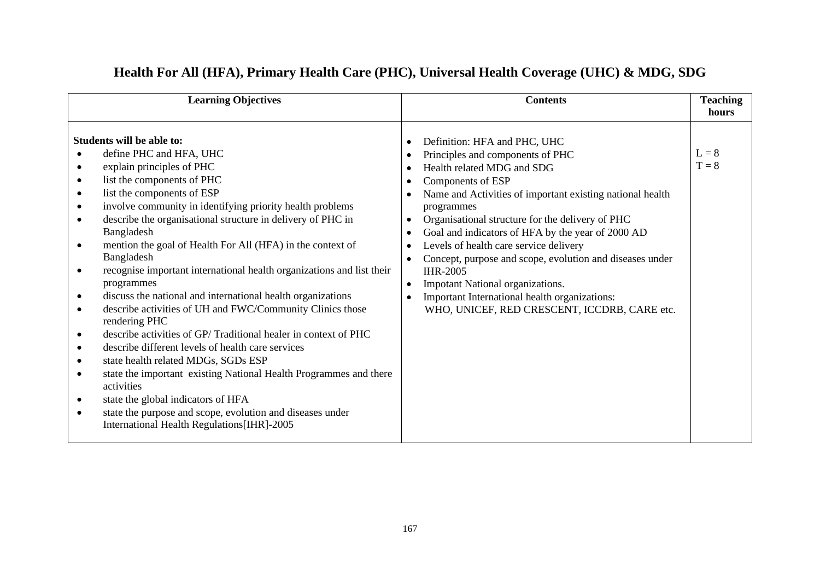| <b>Learning Objectives</b>  |                                                                                                                                                                                                                                                                                                                                                                                                                                                                                                                                                                                                                                                                                                                                                                                                                                                                                                                                                                                                                   | <b>Contents</b>                                                                         |                                                                                                                                                                                                                                                                                                                                                                                                                                                                                                                                                                              | <b>Teaching</b>    |
|-----------------------------|-------------------------------------------------------------------------------------------------------------------------------------------------------------------------------------------------------------------------------------------------------------------------------------------------------------------------------------------------------------------------------------------------------------------------------------------------------------------------------------------------------------------------------------------------------------------------------------------------------------------------------------------------------------------------------------------------------------------------------------------------------------------------------------------------------------------------------------------------------------------------------------------------------------------------------------------------------------------------------------------------------------------|-----------------------------------------------------------------------------------------|------------------------------------------------------------------------------------------------------------------------------------------------------------------------------------------------------------------------------------------------------------------------------------------------------------------------------------------------------------------------------------------------------------------------------------------------------------------------------------------------------------------------------------------------------------------------------|--------------------|
|                             |                                                                                                                                                                                                                                                                                                                                                                                                                                                                                                                                                                                                                                                                                                                                                                                                                                                                                                                                                                                                                   |                                                                                         |                                                                                                                                                                                                                                                                                                                                                                                                                                                                                                                                                                              | hours              |
| $\bullet$<br>$\bullet$<br>٠ | <b>Students will be able to:</b><br>define PHC and HFA, UHC<br>explain principles of PHC<br>list the components of PHC<br>list the components of ESP<br>involve community in identifying priority health problems<br>describe the organisational structure in delivery of PHC in<br>Bangladesh<br>mention the goal of Health For All (HFA) in the context of<br>Bangladesh<br>recognise important international health organizations and list their<br>programmes<br>discuss the national and international health organizations<br>describe activities of UH and FWC/Community Clinics those<br>rendering PHC<br>describe activities of GP/Traditional healer in context of PHC<br>describe different levels of health care services<br>state health related MDGs, SGDs ESP<br>state the important existing National Health Programmes and there<br>activities<br>state the global indicators of HFA<br>state the purpose and scope, evolution and diseases under<br>International Health Regulations [IHR]-2005 | $\bullet$<br>$\bullet$<br>$\bullet$<br>$\bullet$<br>$\bullet$<br>$\bullet$<br>$\bullet$ | Definition: HFA and PHC, UHC<br>Principles and components of PHC<br>Health related MDG and SDG<br>Components of ESP<br>Name and Activities of important existing national health<br>programmes<br>Organisational structure for the delivery of PHC<br>Goal and indicators of HFA by the year of 2000 AD<br>Levels of health care service delivery<br>Concept, purpose and scope, evolution and diseases under<br><b>IHR-2005</b><br><b>Impotant National organizations.</b><br>Important International health organizations:<br>WHO, UNICEF, RED CRESCENT, ICCDRB, CARE etc. | $L = 8$<br>$T = 8$ |

## **Health For All (HFA), Primary Health Care (PHC), Universal Health Coverage (UHC) & MDG, SDG**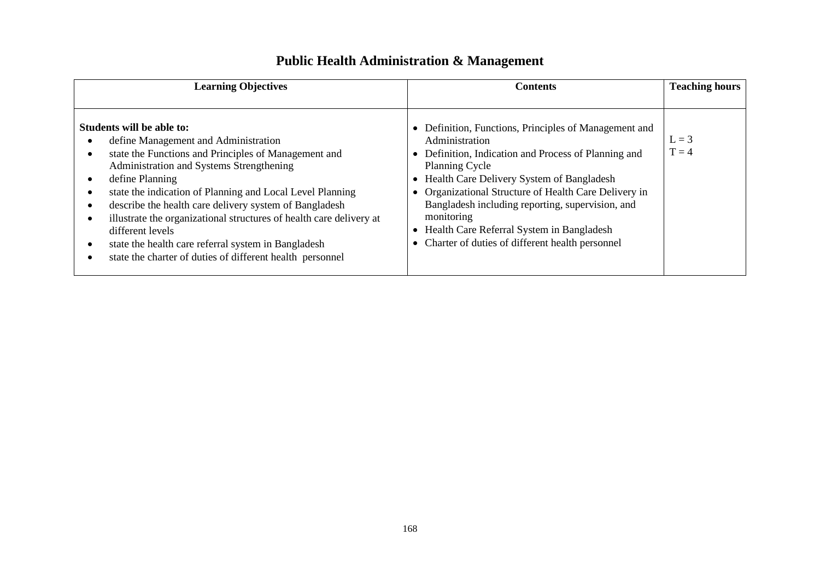| <b>Learning Objectives</b>                                                                                                                                                                                                                                                                                                                                                                                                                                                                                                     | <b>Contents</b>                                                                                                                                                                                                                                                                                                                                                                                                              | <b>Teaching hours</b> |
|--------------------------------------------------------------------------------------------------------------------------------------------------------------------------------------------------------------------------------------------------------------------------------------------------------------------------------------------------------------------------------------------------------------------------------------------------------------------------------------------------------------------------------|------------------------------------------------------------------------------------------------------------------------------------------------------------------------------------------------------------------------------------------------------------------------------------------------------------------------------------------------------------------------------------------------------------------------------|-----------------------|
| Students will be able to:<br>define Management and Administration<br>state the Functions and Principles of Management and<br>Administration and Systems Strengthening<br>define Planning<br>state the indication of Planning and Local Level Planning<br>describe the health care delivery system of Bangladesh<br>illustrate the organizational structures of health care delivery at<br>different levels<br>state the health care referral system in Bangladesh<br>state the charter of duties of different health personnel | • Definition, Functions, Principles of Management and<br>Administration<br>Definition, Indication and Process of Planning and<br><b>Planning Cycle</b><br>Health Care Delivery System of Bangladesh<br>Organizational Structure of Health Care Delivery in<br>Bangladesh including reporting, supervision, and<br>monitoring<br>Health Care Referral System in Bangladesh<br>Charter of duties of different health personnel | $L = 3$<br>$T = 4$    |

## **Public Health Administration & Management**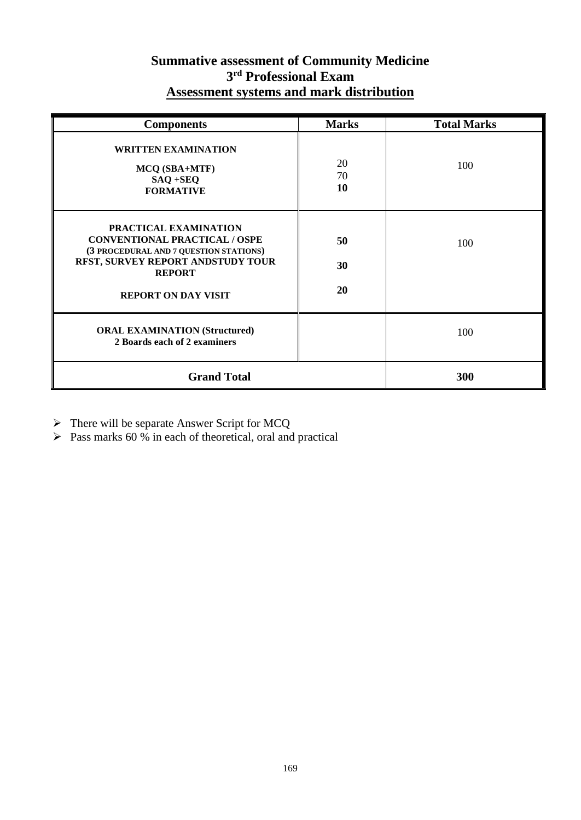### **Summative assessment of Community Medicine 3 rd Professional Exam Assessment systems and mark distribution**

| <b>Components</b>                                                                                                                                                                           | <b>Marks</b>   | <b>Total Marks</b> |
|---------------------------------------------------------------------------------------------------------------------------------------------------------------------------------------------|----------------|--------------------|
| <b>WRITTEN EXAMINATION</b><br>MCQ (SBA+MTF)<br>$SAQ + SEQ$<br><b>FORMATIVE</b>                                                                                                              | 20<br>70<br>10 | 100                |
| PRACTICAL EXAMINATION<br><b>CONVENTIONAL PRACTICAL / OSPE</b><br>(3 PROCEDURAL AND 7 QUESTION STATIONS)<br>RFST, SURVEY REPORT ANDSTUDY TOUR<br><b>REPORT</b><br><b>REPORT ON DAY VISIT</b> | 50<br>30<br>20 | 100                |
| <b>ORAL EXAMINATION (Structured)</b><br>2 Boards each of 2 examiners                                                                                                                        |                | 100                |
| <b>Grand Total</b>                                                                                                                                                                          |                | 300                |

➢ There will be separate Answer Script for MCQ

 $\triangleright$  Pass marks 60 % in each of theoretical, oral and practical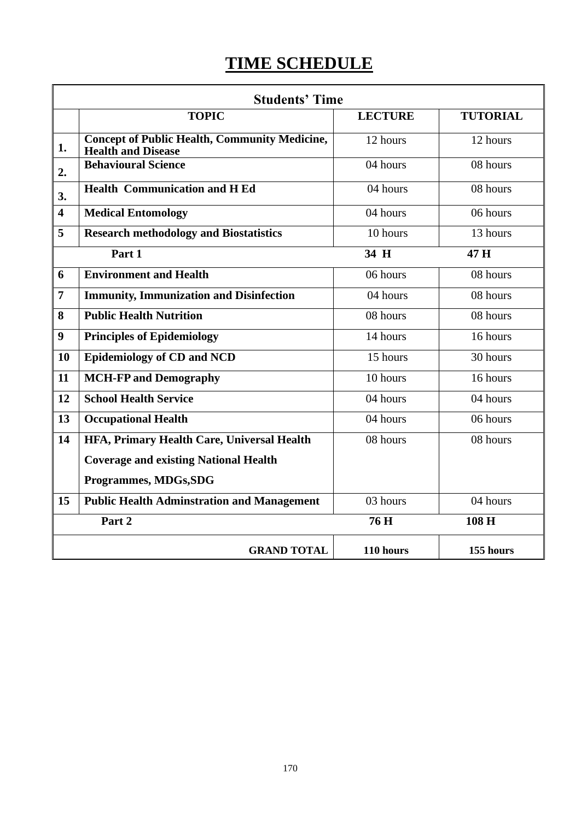# **TIME SCHEDULE**

|                         | <b>Students' Time</b>                                                             |                |                 |
|-------------------------|-----------------------------------------------------------------------------------|----------------|-----------------|
|                         | <b>TOPIC</b>                                                                      | <b>LECTURE</b> | <b>TUTORIAL</b> |
| 1.                      | <b>Concept of Public Health, Community Medicine,</b><br><b>Health and Disease</b> | 12 hours       | 12 hours        |
| 2.                      | <b>Behavioural Science</b>                                                        | 04 hours       | 08 hours        |
| 3.                      | <b>Health Communication and H Ed</b>                                              | 04 hours       | 08 hours        |
| $\overline{\mathbf{4}}$ | <b>Medical Entomology</b>                                                         | 04 hours       | 06 hours        |
| 5                       | <b>Research methodology and Biostatistics</b>                                     | 10 hours       | 13 hours        |
|                         | Part 1                                                                            | 34 H           | 47 H            |
| 6                       | <b>Environment and Health</b>                                                     | 06 hours       | 08 hours        |
| $\overline{7}$          | <b>Immunity, Immunization and Disinfection</b>                                    | 04 hours       | 08 hours        |
| 8                       | <b>Public Health Nutrition</b>                                                    | 08 hours       | 08 hours        |
| 9                       | <b>Principles of Epidemiology</b>                                                 | 14 hours       | 16 hours        |
| 10                      | <b>Epidemiology of CD and NCD</b>                                                 | 15 hours       | 30 hours        |
| 11                      | <b>MCH-FP and Demography</b>                                                      | 10 hours       | 16 hours        |
| 12                      | <b>School Health Service</b>                                                      | 04 hours       | 04 hours        |
| 13                      | <b>Occupational Health</b>                                                        | 04 hours       | 06 hours        |
| 14                      | HFA, Primary Health Care, Universal Health                                        | 08 hours       | 08 hours        |
|                         | <b>Coverage and existing National Health</b>                                      |                |                 |
|                         | Programmes, MDGs, SDG                                                             |                |                 |
| 15                      | <b>Public Health Adminstration and Management</b>                                 | 03 hours       | 04 hours        |
|                         | Part 2                                                                            | 76 H           | 108 H           |
|                         | <b>GRAND TOTAL</b>                                                                | 110 hours      | 155 hours       |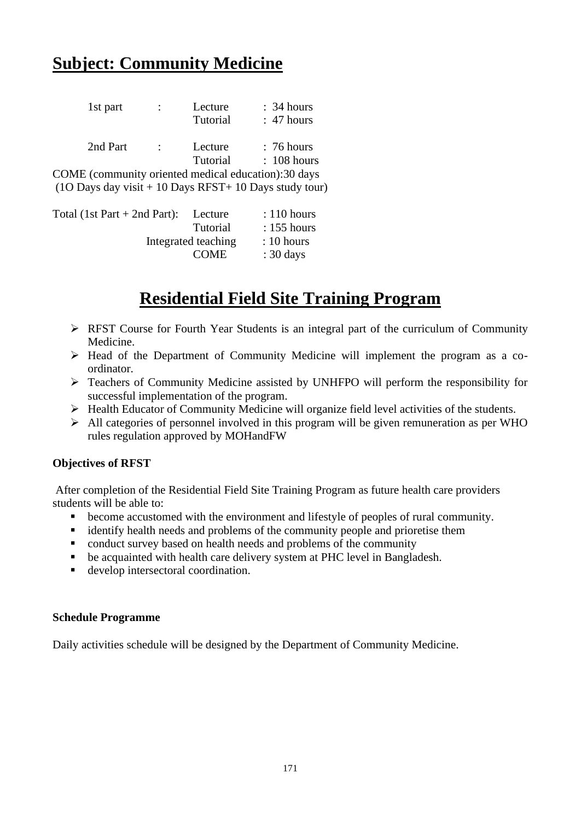## **Subject: Community Medicine**

| 1st part                                                                          |            | Lecture         | : 34 hours    |
|-----------------------------------------------------------------------------------|------------|-----------------|---------------|
|                                                                                   |            | Tutorial        | : 47 hours    |
| 2nd Part                                                                          | $\sim 100$ | Lecture         | : 76 hours    |
| COME (community oriented medical education): 30 days                              |            | <b>Tutorial</b> | $: 108$ hours |
| $(10 \text{ Days day visit} + 10 \text{ Days RFST} + 10 \text{ Days study tour})$ |            |                 |               |

| Total $(1st Part + 2nd Part)$ : | Lecture             | $: 110$ hours        |
|---------------------------------|---------------------|----------------------|
|                                 | <b>Tutorial</b>     | $: 155$ hours        |
|                                 | Integrated teaching | $: 10 \text{ hours}$ |
|                                 | <b>COME</b>         | $: 30 \text{ days}$  |
|                                 |                     |                      |

## **Residential Field Site Training Program**

- ➢ RFST Course for Fourth Year Students is an integral part of the curriculum of Community Medicine.
- ➢ Head of the Department of Community Medicine will implement the program as a coordinator.
- ➢ Teachers of Community Medicine assisted by UNHFPO will perform the responsibility for successful implementation of the program.
- ➢ Health Educator of Community Medicine will organize field level activities of the students.
- $\triangleright$  All categories of personnel involved in this program will be given remuneration as per WHO rules regulation approved by MOHandFW

#### **Objectives of RFST**

After completion of the Residential Field Site Training Program as future health care providers students will be able to:

- become accustomed with the environment and lifestyle of peoples of rural community.
- identify health needs and problems of the community people and prioretise them
- conduct survey based on health needs and problems of the community
- be acquainted with health care delivery system at PHC level in Bangladesh.
- develop intersectoral coordination.

#### **Schedule Programme**

Daily activities schedule will be designed by the Department of Community Medicine.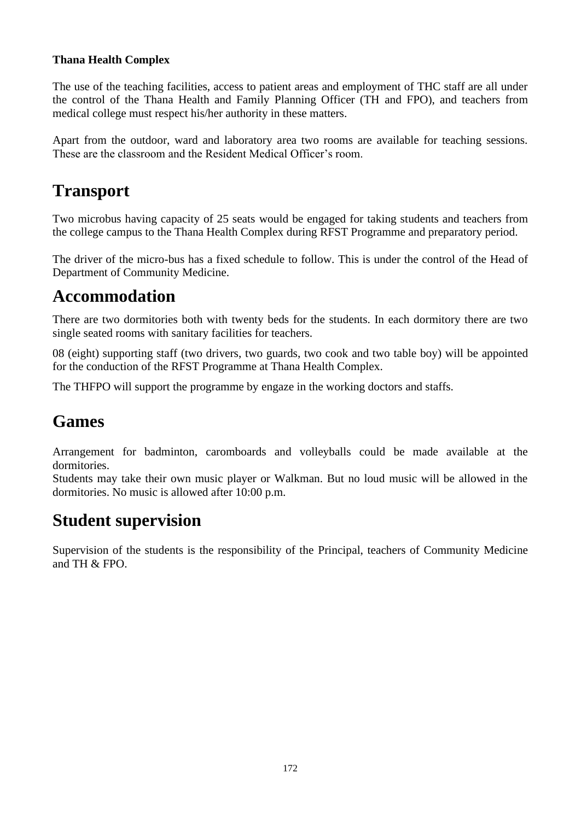#### **Thana Health Complex**

The use of the teaching facilities, access to patient areas and employment of THC staff are all under the control of the Thana Health and Family Planning Officer (TH and FPO), and teachers from medical college must respect his/her authority in these matters.

Apart from the outdoor, ward and laboratory area two rooms are available for teaching sessions. These are the classroom and the Resident Medical Officer's room.

## **Transport**

Two microbus having capacity of 25 seats would be engaged for taking students and teachers from the college campus to the Thana Health Complex during RFST Programme and preparatory period.

The driver of the micro-bus has a fixed schedule to follow. This is under the control of the Head of Department of Community Medicine.

## **Accommodation**

There are two dormitories both with twenty beds for the students. In each dormitory there are two single seated rooms with sanitary facilities for teachers.

08 (eight) supporting staff (two drivers, two guards, two cook and two table boy) will be appointed for the conduction of the RFST Programme at Thana Health Complex.

The THFPO will support the programme by engaze in the working doctors and staffs.

## **Games**

Arrangement for badminton, caromboards and volleyballs could be made available at the dormitories.

Students may take their own music player or Walkman. But no loud music will be allowed in the dormitories. No music is allowed after 10:00 p.m.

## **Student supervision**

Supervision of the students is the responsibility of the Principal, teachers of Community Medicine and TH  $&$  FPO.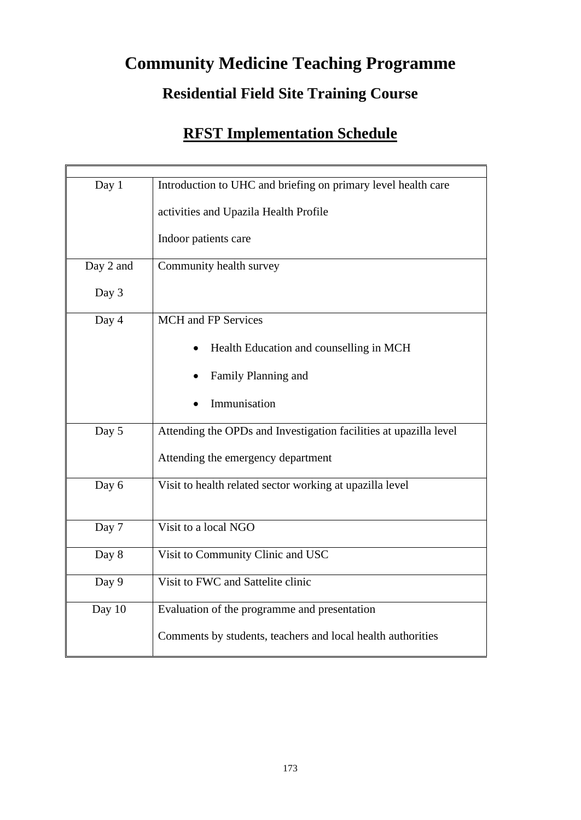# **Community Medicine Teaching Programme**

## **Residential Field Site Training Course**

## **RFST Implementation Schedule**

| Day 1     | Introduction to UHC and briefing on primary level health care     |
|-----------|-------------------------------------------------------------------|
|           | activities and Upazila Health Profile                             |
|           | Indoor patients care                                              |
| Day 2 and | Community health survey                                           |
| Day 3     |                                                                   |
| Day 4     | <b>MCH</b> and FP Services                                        |
|           | Health Education and counselling in MCH                           |
|           | Family Planning and                                               |
|           | Immunisation                                                      |
| Day 5     | Attending the OPDs and Investigation facilities at upazilla level |
|           | Attending the emergency department                                |
| Day 6     | Visit to health related sector working at upazilla level          |
| Day 7     | Visit to a local NGO                                              |
|           |                                                                   |
| Day 8     | Visit to Community Clinic and USC                                 |
| Day 9     | Visit to FWC and Sattelite clinic                                 |
| Day 10    | Evaluation of the programme and presentation                      |
|           | Comments by students, teachers and local health authorities       |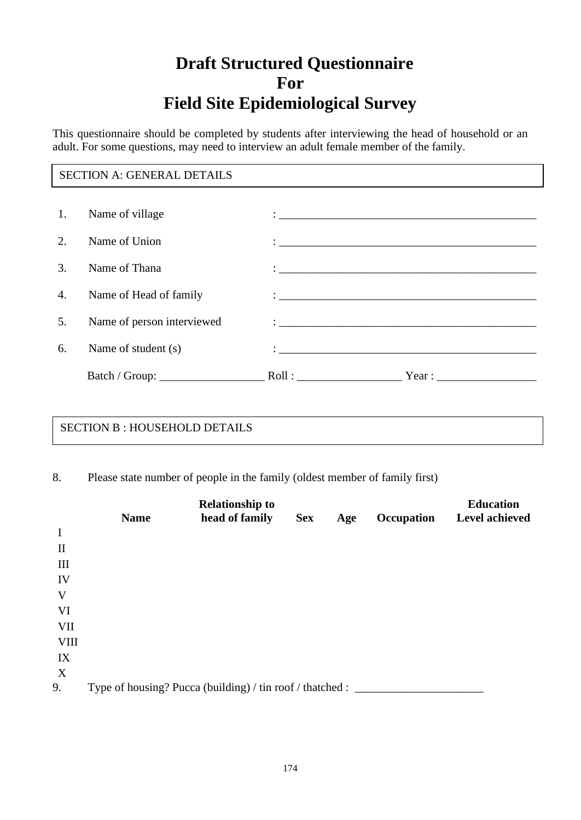## **Draft Structured Questionnaire For Field Site Epidemiological Survey**

This questionnaire should be completed by students after interviewing the head of household or an adult. For some questions, may need to interview an adult female member of the family.

#### SECTION A: GENERAL DETAILS

| 1.                     | Name of village            |                                                                                                                                                                                                                                     |  |
|------------------------|----------------------------|-------------------------------------------------------------------------------------------------------------------------------------------------------------------------------------------------------------------------------------|--|
| $\mathcal{D}_{\alpha}$ | Name of Union              | $\ddot{\cdot}$ , and the contract of the contract of the contract of the contract of the contract of the contract of the contract of the contract of the contract of the contract of the contract of the contract of the contract o |  |
| 3.                     | Name of Thana              |                                                                                                                                                                                                                                     |  |
| 4.                     | Name of Head of family     |                                                                                                                                                                                                                                     |  |
| 5.                     | Name of person interviewed | $\ddot{\cdot}$ . The contract of the contract of the contract of the contract of the contract of the contract of the contract of the contract of the contract of the contract of the contract of the contract of the contract of th |  |
| 6.                     | Name of student (s)        |                                                                                                                                                                                                                                     |  |
|                        |                            | Roll:                                                                                                                                                                                                                               |  |

#### SECTION B : HOUSEHOLD DETAILS

8. Please state number of people in the family (oldest member of family first)

|                             | <b>Name</b> | <b>Relationship to</b><br>head of family                  | <b>Sex</b> | Age | Occupation | <b>Education</b><br><b>Level achieved</b> |
|-----------------------------|-------------|-----------------------------------------------------------|------------|-----|------------|-------------------------------------------|
| $\mathbf I$                 |             |                                                           |            |     |            |                                           |
| $\mathbf{I}$                |             |                                                           |            |     |            |                                           |
| $\mathop{\rm III}\nolimits$ |             |                                                           |            |     |            |                                           |
| IV                          |             |                                                           |            |     |            |                                           |
| V                           |             |                                                           |            |     |            |                                           |
| VI                          |             |                                                           |            |     |            |                                           |
| VII                         |             |                                                           |            |     |            |                                           |
| <b>VIII</b>                 |             |                                                           |            |     |            |                                           |
| IX                          |             |                                                           |            |     |            |                                           |
| $\boldsymbol{X}$            |             |                                                           |            |     |            |                                           |
| 9.                          |             | Type of housing? Pucca (building) / tin roof / thatched : |            |     |            |                                           |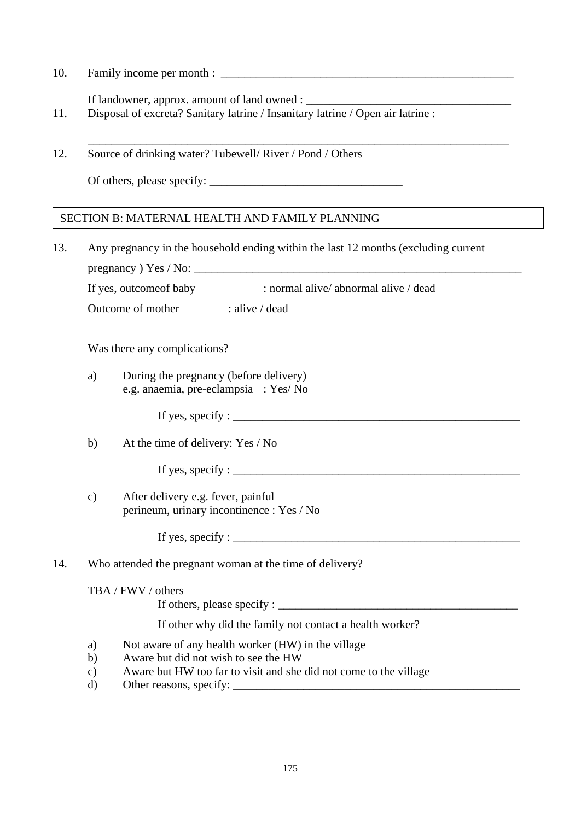10. Family income per month :  $\overline{\phantom{a}}$ 

If landowner, approx. amount of land owned : \_\_\_\_\_\_\_\_\_\_\_\_\_\_\_\_\_\_\_\_\_\_\_\_\_\_\_\_\_\_\_\_\_\_\_

- 11. Disposal of excreta? Sanitary latrine / Insanitary latrine / Open air latrine :
- \_\_\_\_\_\_\_\_\_\_\_\_\_\_\_\_\_\_\_\_\_\_\_\_\_\_\_\_\_\_\_\_\_\_\_\_\_\_\_\_\_\_\_\_\_\_\_\_\_\_\_\_\_\_\_\_\_\_\_\_\_\_\_\_\_\_\_\_\_\_\_\_ 12. Source of drinking water? Tubewell/ River / Pond / Others

Of others, please specify: \_\_\_\_\_\_\_\_\_\_\_\_\_\_\_\_\_\_\_\_\_\_\_\_\_\_\_\_\_\_\_\_\_

#### SECTION B: MATERNAL HEALTH AND FAMILY PLANNING

13. Any pregnancy in the household ending within the last 12 months (excluding current pregnancy ) Yes / No: \_\_\_\_\_\_\_\_\_\_\_\_\_\_\_\_\_\_\_\_\_\_\_\_\_\_\_\_\_\_\_\_\_\_\_\_\_\_\_\_\_\_\_\_\_\_\_\_\_\_\_\_\_\_\_\_

If yes, outcomeof baby : normal alive/ abnormal alive / dead

Outcome of mother : alive / dead

Was there any complications?

a) During the pregnancy (before delivery) e.g. anaemia, pre-eclampsia : Yes/ No

If yes, specify :  $\frac{1}{2}$  is the set of the set of the set of the set of the set of the set of the set of the set of the set of the set of the set of the set of the set of the set of the set of the set of the set of the

b) At the time of delivery: Yes / No

If yes, specify :  $\frac{1}{2}$  is the set of  $\frac{1}{2}$  is the set of  $\frac{1}{2}$  is the set of  $\frac{1}{2}$  is the set of  $\frac{1}{2}$  is the set of  $\frac{1}{2}$  is the set of  $\frac{1}{2}$  is the set of  $\frac{1}{2}$  is the set of  $\frac{1}{2}$  i

c) After delivery e.g. fever, painful perineum, urinary incontinence : Yes / No

If yes, specify :  $\frac{1}{\sqrt{2}}$ 

#### 14. Who attended the pregnant woman at the time of delivery?

#### TBA / FWV / others

If others, please specify :  $\frac{1}{\sqrt{1-\frac{1}{2}}}\left| \frac{1}{\sqrt{1-\frac{1}{2}}}\right|$ 

If other why did the family not contact a health worker?

- a) Not aware of any health worker (HW) in the village
- b) Aware but did not wish to see the HW
- c) Aware but HW too far to visit and she did not come to the village
- d) Other reasons, specify: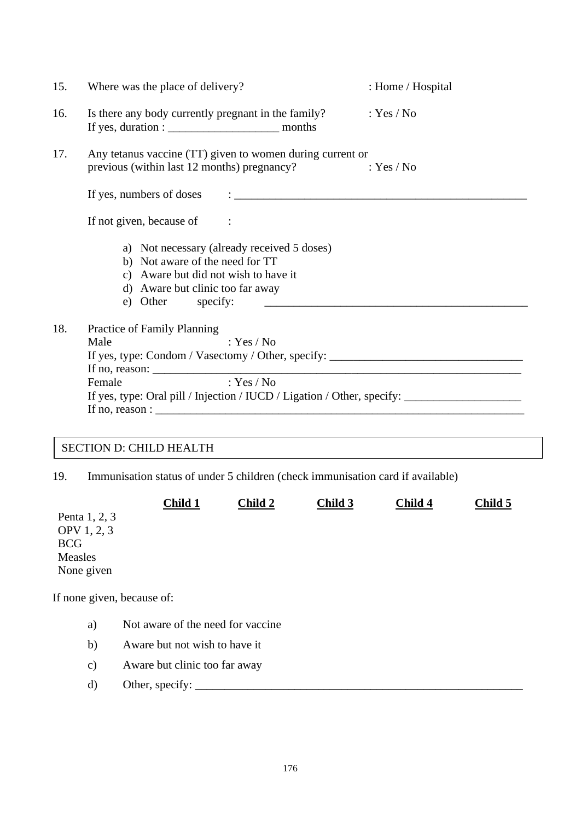| 15. | Where was the place of delivery?                                                                                                                                                                                                                                                                                                           | : Home / Hospital                                                                                                    |  |
|-----|--------------------------------------------------------------------------------------------------------------------------------------------------------------------------------------------------------------------------------------------------------------------------------------------------------------------------------------------|----------------------------------------------------------------------------------------------------------------------|--|
| 16. | Is there any body currently pregnant in the family?                                                                                                                                                                                                                                                                                        | : Yes / No                                                                                                           |  |
| 17. | Any tetanus vaccine (TT) given to women during current or<br>previous (within last 12 months) pregnancy?                                                                                                                                                                                                                                   | : Yes / No                                                                                                           |  |
|     | If yes, numbers of doses $\qquad \qquad : \qquad \qquad$                                                                                                                                                                                                                                                                                   |                                                                                                                      |  |
|     | If not given, because of :                                                                                                                                                                                                                                                                                                                 |                                                                                                                      |  |
|     | a) Not necessary (already received 5 doses)<br>b) Not aware of the need for TT<br>c) Aware but did not wish to have it<br>d) Aware but clinic too far away<br>e) Other specify:                                                                                                                                                            | <u> 2000 - Jan James James James James James James James James James James James James James James James James J</u> |  |
| 18. | Practice of Family Planning<br>Male<br>: Yes / No<br>If yes, type: Condom / Vasectomy / Other, specify: ______________________________<br>If no, reason: $\frac{1}{2}$ reason:<br>: $Yes / No$<br>Female<br>If yes, type: Oral pill / Injection / IUCD / Ligation / Other, specify: ____________________________<br>If no, reason : $\Box$ |                                                                                                                      |  |

### SECTION D: CHILD HEALTH

19. Immunisation status of under 5 children (check immunisation card if available)

|                            | Child 1                           | Child 2 | Child 3 | Child 4 | Child 5 |
|----------------------------|-----------------------------------|---------|---------|---------|---------|
| Penta 1, 2, 3              |                                   |         |         |         |         |
| OPV 1, 2, 3                |                                   |         |         |         |         |
| <b>BCG</b>                 |                                   |         |         |         |         |
| Measles                    |                                   |         |         |         |         |
| None given                 |                                   |         |         |         |         |
| If none given, because of: |                                   |         |         |         |         |
| a)                         | Not aware of the need for vaccine |         |         |         |         |
| b)                         | Aware but not wish to have it     |         |         |         |         |
| $\mathbf{c})$              | Aware but clinic too far away     |         |         |         |         |
| d)                         | Other, specify:                   |         |         |         |         |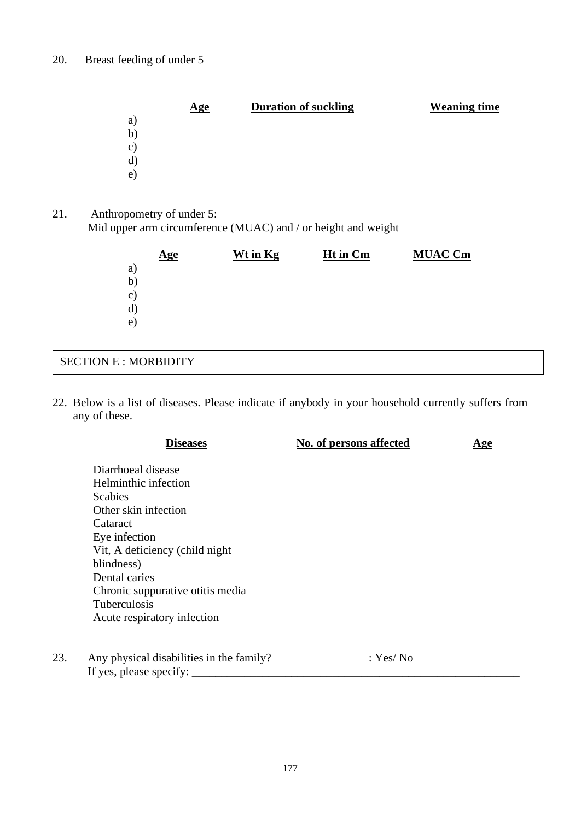| <b>Duration of suckling</b><br><u>Age</u> | <b>Weaning time</b> |
|-------------------------------------------|---------------------|
| a)                                        |                     |
| b)                                        |                     |
| $\circ)$                                  |                     |
| d)                                        |                     |
| e)                                        |                     |

21. Anthropometry of under 5: Mid upper arm circumference (MUAC) and / or height and weight

| $\mathbf{Age}$ | Wt in Kg | Ht in Cm | <b>MUAC Cm</b> |
|----------------|----------|----------|----------------|
| a)             |          |          |                |
| b)             |          |          |                |
| $\circ)$       |          |          |                |
| d)             |          |          |                |
| e)             |          |          |                |
|                |          |          |                |

### SECTION E : MORBIDITY

22. Below is a list of diseases. Please indicate if anybody in your household currently suffers from any of these.

|     | <b>Diseases</b>                          | No. of persons affected | <u>Age</u> |
|-----|------------------------------------------|-------------------------|------------|
|     | Diarrhoeal disease                       |                         |            |
|     | Helminthic infection                     |                         |            |
|     | <b>Scabies</b>                           |                         |            |
|     | Other skin infection                     |                         |            |
|     | Cataract                                 |                         |            |
|     | Eye infection                            |                         |            |
|     | Vit, A deficiency (child night           |                         |            |
|     | blindness)                               |                         |            |
|     | Dental caries                            |                         |            |
|     | Chronic suppurative otitis media         |                         |            |
|     | <b>Tuberculosis</b>                      |                         |            |
|     | Acute respiratory infection              |                         |            |
| 23. | Any physical disabilities in the family? | : Yes/ No               |            |
|     | If yes, please specify:                  |                         |            |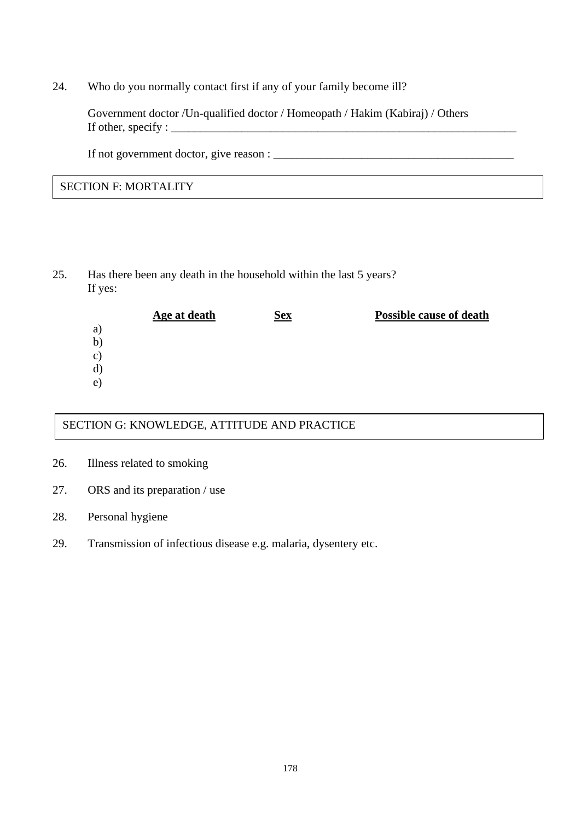24. Who do you normally contact first if any of your family become ill?

Government doctor /Un-qualified doctor / Homeopath / Hakim (Kabiraj) / Others If other, specify :  $\Box$ 

If not government doctor, give reason : \_\_\_\_\_\_\_\_\_\_\_\_\_\_\_\_\_\_\_\_\_\_\_\_\_\_\_\_\_\_\_\_\_\_\_\_\_\_\_\_\_

#### SECTION F: MORTALITY

25. Has there been any death in the household within the last 5 years? If yes:

|               | Age at death | <b>Sex</b> | <b>Possible cause of death</b> |
|---------------|--------------|------------|--------------------------------|
| a)            |              |            |                                |
| b)            |              |            |                                |
| $\mathbf{c})$ |              |            |                                |
| d)            |              |            |                                |
| e)            |              |            |                                |

#### SECTION G: KNOWLEDGE, ATTITUDE AND PRACTICE

- 26. Illness related to smoking
- 27. ORS and its preparation / use
- 28. Personal hygiene
- 29. Transmission of infectious disease e.g. malaria, dysentery etc.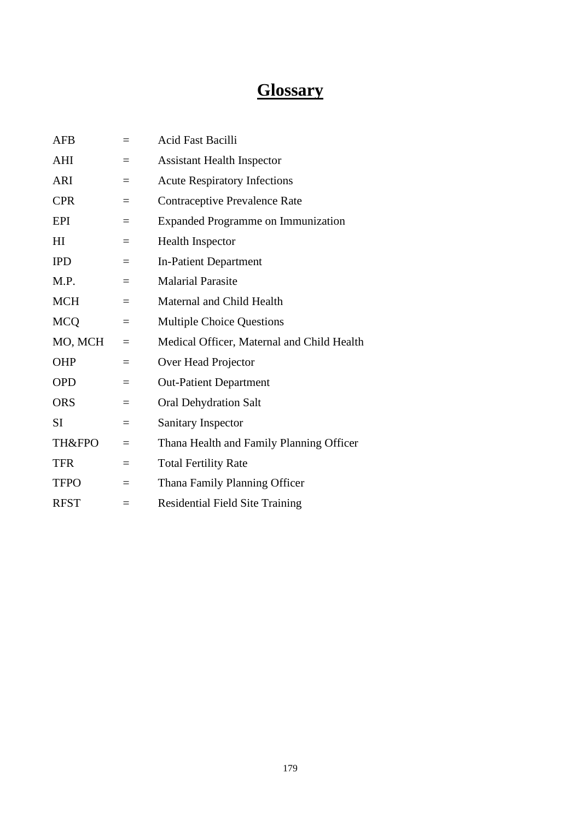## **Glossary**

| <b>AFB</b>        | $=$ | <b>Acid Fast Bacilli</b>                   |
|-------------------|-----|--------------------------------------------|
| AHI               | $=$ | <b>Assistant Health Inspector</b>          |
| <b>ARI</b>        | $=$ | <b>Acute Respiratory Infections</b>        |
| <b>CPR</b>        | $=$ | Contraceptive Prevalence Rate              |
| <b>EPI</b>        | $=$ | <b>Expanded Programme on Immunization</b>  |
| H <sub>I</sub>    | $=$ | <b>Health Inspector</b>                    |
| <b>IPD</b>        | $=$ | <b>In-Patient Department</b>               |
| M.P.              | $=$ | <b>Malarial Parasite</b>                   |
| <b>MCH</b>        | $=$ | Maternal and Child Health                  |
| <b>MCQ</b>        | $=$ | <b>Multiple Choice Questions</b>           |
| MO, MCH           | $=$ | Medical Officer, Maternal and Child Health |
| <b>OHP</b>        | $=$ | Over Head Projector                        |
| <b>OPD</b>        | $=$ | <b>Out-Patient Department</b>              |
| <b>ORS</b>        | $=$ | <b>Oral Dehydration Salt</b>               |
| SI                | $=$ | Sanitary Inspector                         |
| <b>TH&amp;FPO</b> | $=$ | Thana Health and Family Planning Officer   |
| <b>TFR</b>        | $=$ | <b>Total Fertility Rate</b>                |
| <b>TFPO</b>       | $=$ | Thana Family Planning Officer              |
| <b>RFST</b>       | $=$ | <b>Residential Field Site Training</b>     |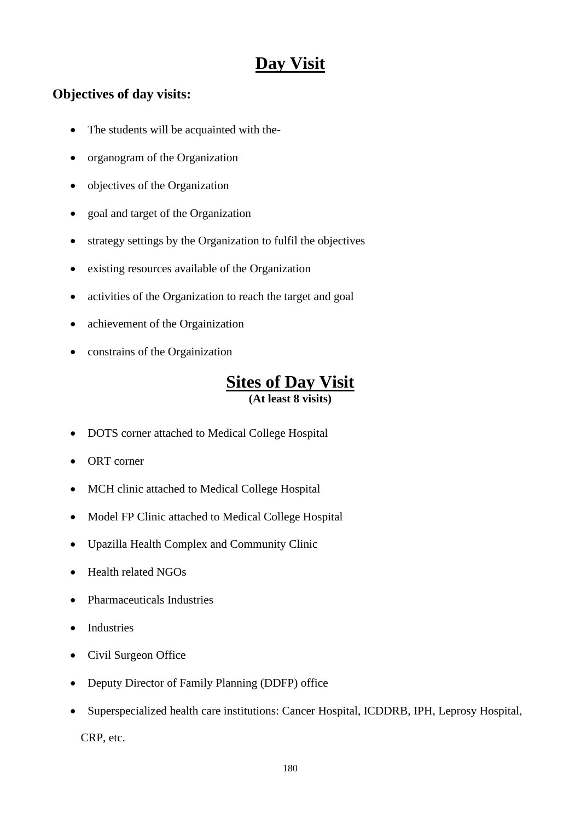## **Day Visit**

### **Objectives of day visits:**

- The students will be acquainted with the-
- organogram of the Organization
- objectives of the Organization
- goal and target of the Organization
- strategy settings by the Organization to fulfil the objectives
- existing resources available of the Organization
- activities of the Organization to reach the target and goal
- achievement of the Orgainization
- constrains of the Orgainization

### **Sites of Day Visit (At least 8 visits)**

- DOTS corner attached to Medical College Hospital
- ORT corner
- MCH clinic attached to Medical College Hospital
- Model FP Clinic attached to Medical College Hospital
- Upazilla Health Complex and Community Clinic
- Health related NGOs
- Pharmaceuticals Industries
- Industries
- Civil Surgeon Office
- Deputy Director of Family Planning (DDFP) office
- Superspecialized health care institutions: Cancer Hospital, ICDDRB, IPH, Leprosy Hospital,

CRP, etc.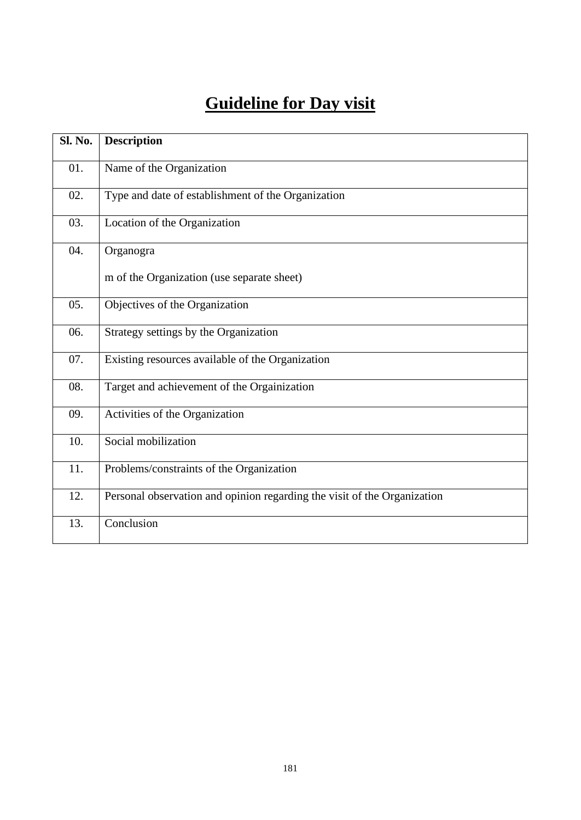# **Guideline for Day visit**

| <b>Sl. No.</b> | <b>Description</b>                                                       |
|----------------|--------------------------------------------------------------------------|
| 01.            | Name of the Organization                                                 |
| 02.            | Type and date of establishment of the Organization                       |
| 03.            | Location of the Organization                                             |
| 04.            | Organogra                                                                |
|                | m of the Organization (use separate sheet)                               |
| 05.            | Objectives of the Organization                                           |
| 06.            | Strategy settings by the Organization                                    |
| 07.            | Existing resources available of the Organization                         |
| 08.            | Target and achievement of the Orgainization                              |
| 09.            | Activities of the Organization                                           |
| 10.            | Social mobilization                                                      |
| 11.            | Problems/constraints of the Organization                                 |
| 12.            | Personal observation and opinion regarding the visit of the Organization |
| 13.            | Conclusion                                                               |